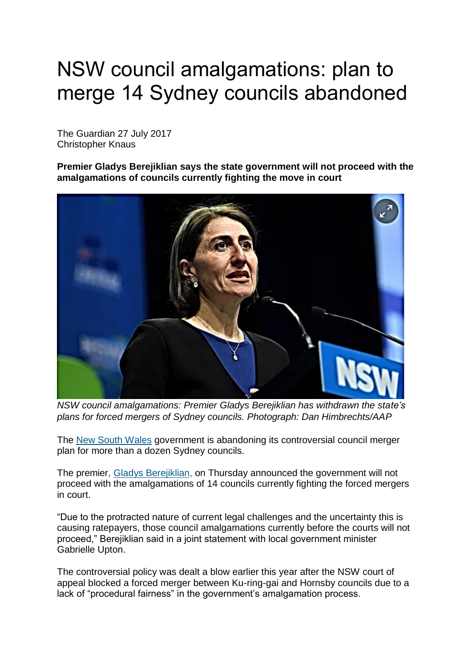## NSW council amalgamations: plan to merge 14 Sydney councils abandoned

The Guardian 27 July 2017 Christopher Knaus

**Premier Gladys Berejiklian says the state government will not proceed with the amalgamations of councils currently fighting the move in court**



*NSW council amalgamations: Premier Gladys Berejiklian has withdrawn the state's plans for forced mergers of Sydney councils. Photograph: Dan Himbrechts/AAP*

The [New South Wales](https://www.theguardian.com/australia-news/new-south-wales) government is abandoning its controversial council merger plan for more than a dozen Sydney councils.

The premier, [Gladys Berejiklian,](https://www.theguardian.com/australia-news/gladys-berejiklian) on Thursday announced the government will not proceed with the amalgamations of 14 councils currently fighting the forced mergers in court.

"Due to the protracted nature of current legal challenges and the uncertainty this is causing ratepayers, those council amalgamations currently before the courts will not proceed," Berejiklian said in a joint statement with local government minister Gabrielle Upton.

The controversial policy was dealt a blow earlier this year after the NSW court of appeal blocked a forced merger between Ku-ring-gai and Hornsby councils due to a lack of "procedural fairness" in the government's amalgamation process.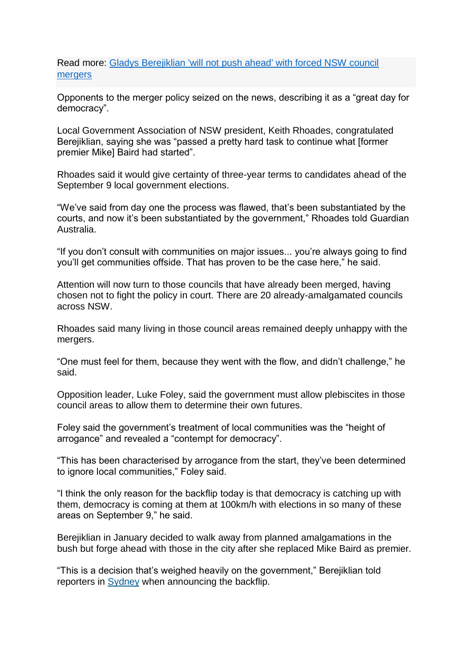Read more: [Gladys Berejiklian 'will not push ahead' with forced NSW council](https://www.theguardian.com/australia-news/2017/feb/02/gladys-berejiklian-will-not-push-ahead-with-forced-council-mergers)  [mergers](https://www.theguardian.com/australia-news/2017/feb/02/gladys-berejiklian-will-not-push-ahead-with-forced-council-mergers)

Opponents to the merger policy seized on the news, describing it as a "great day for democracy".

Local Government Association of NSW president, Keith Rhoades, congratulated Berejiklian, saying she was "passed a pretty hard task to continue what [former premier Mike] Baird had started".

Rhoades said it would give certainty of three-year terms to candidates ahead of the September 9 local government elections.

"We've said from day one the process was flawed, that's been substantiated by the courts, and now it's been substantiated by the government," Rhoades told Guardian Australia.

"If you don't consult with communities on major issues... you're always going to find you'll get communities offside. That has proven to be the case here," he said.

Attention will now turn to those councils that have already been merged, having chosen not to fight the policy in court. There are 20 already-amalgamated councils across NSW.

Rhoades said many living in those council areas remained deeply unhappy with the mergers.

"One must feel for them, because they went with the flow, and didn't challenge," he said.

Opposition leader, Luke Foley, said the government must allow plebiscites in those council areas to allow them to determine their own futures.

Foley said the government's treatment of local communities was the "height of arrogance" and revealed a "contempt for democracy".

"This has been characterised by arrogance from the start, they've been determined to ignore local communities," Foley said.

"I think the only reason for the backflip today is that democracy is catching up with them, democracy is coming at them at 100km/h with elections in so many of these areas on September 9," he said.

Berejiklian in January decided to walk away from planned amalgamations in the bush but forge ahead with those in the city after she replaced Mike Baird as premier.

"This is a decision that's weighed heavily on the government," Berejiklian told reporters in **[Sydney](https://www.theguardian.com/australia-news/sydney)** when announcing the backflip.